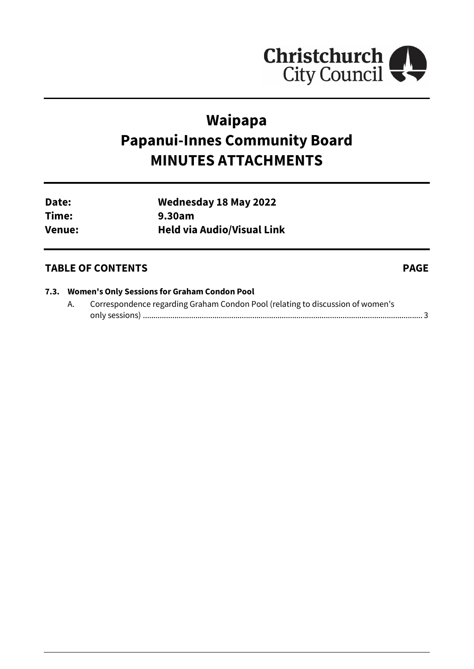

## **Waipapa Papanui-Innes Community Board MINUTES ATTACHMENTS**

| Date:         | Wednesday 18 May 2022             |
|---------------|-----------------------------------|
| Time:         | 9.30am                            |
| <b>Venue:</b> | <b>Held via Audio/Visual Link</b> |

## **TABLE OF CONTENTS PAGE**

| <b>Women's Only Sessions for Graham Condon Pool</b> |                                                                                |
|-----------------------------------------------------|--------------------------------------------------------------------------------|
|                                                     | Correspondence regarding Graham Condon Pool (relating to discussion of women's |

only sessions) ..................................................................................................................................... [3](#page-2-0)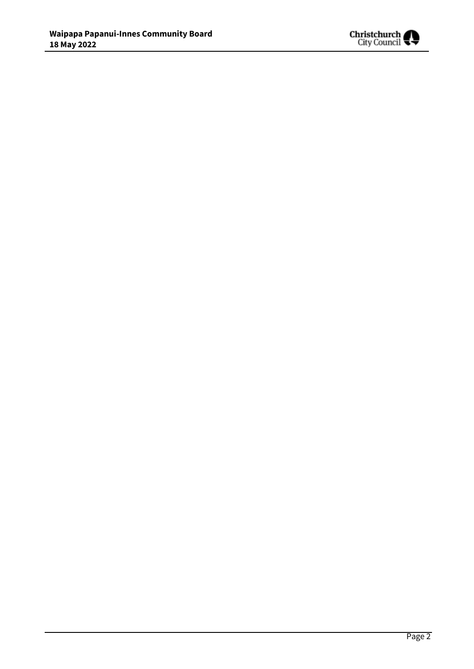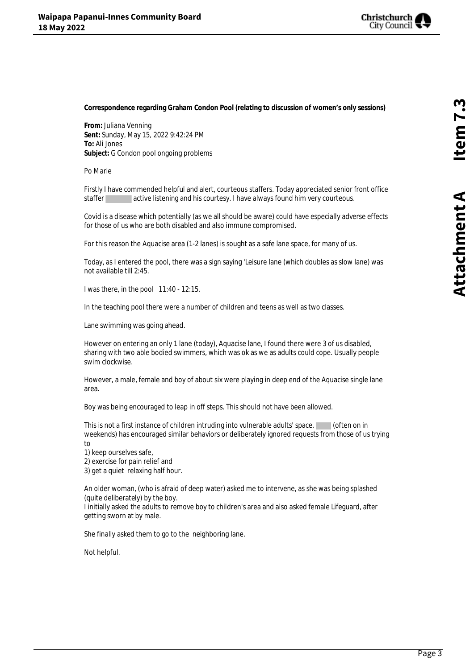<span id="page-2-0"></span>**Correspondence regarding Graham Condon Pool (relating to discussion of women's only sessions)**

**From:** Juliana Venning **Sent:** Sunday, May 15, 2022 9:42:24 PM **To:** Ali Jones **Subject:** G Condon pool ongoing problems

Po Marie

Firstly I have commended helpful and alert, courteous staffers. Today appreciated senior front office staffer active listening and his courtesy. I have always found him very courteous.

Covid is a disease which potentially (as we all should be aware) could have especially adverse effects for those of us who are both disabled and also immune compromised.

For this reason the Aquacise area (1-2 lanes) is sought as a safe lane space, for many of us.

Today, as I entered the pool, there was a sign saying 'Leisure lane (which doubles as slow lane) was not available till 2:45.

I was there, in the pool 11:40 - 12:15.

In the teaching pool there were a number of children and teens as well as two classes.

Lane swimming was going ahead.

However on entering an only 1 lane (today), Aquacise lane, I found there were 3 of us disabled, sharing with two able bodied swimmers, which was ok as we as adults could cope. Usually people swim clockwise.

However, a male, female and boy of about six were playing in deep end of the Aquacise single lane area.

Boy was being encouraged to leap in off steps. This should not have been allowed.

This is not a first instance of children intruding into vulnerable adults' space. (often on in weekends) has encouraged similar behaviors or deliberately ignored requests from those of us trying to

1) keep ourselves safe, 2) exercise for pain relief and 3) get a quiet relaxing half hour.

An older woman, (who is afraid of deep water) asked me to intervene, as she was being splashed (quite deliberately) by the boy.

I initially asked the adults to remove boy to children's area and also asked female Lifeguard, after getting sworn at by male.

She finally asked them to go to the neighboring lane.

Not helpful.